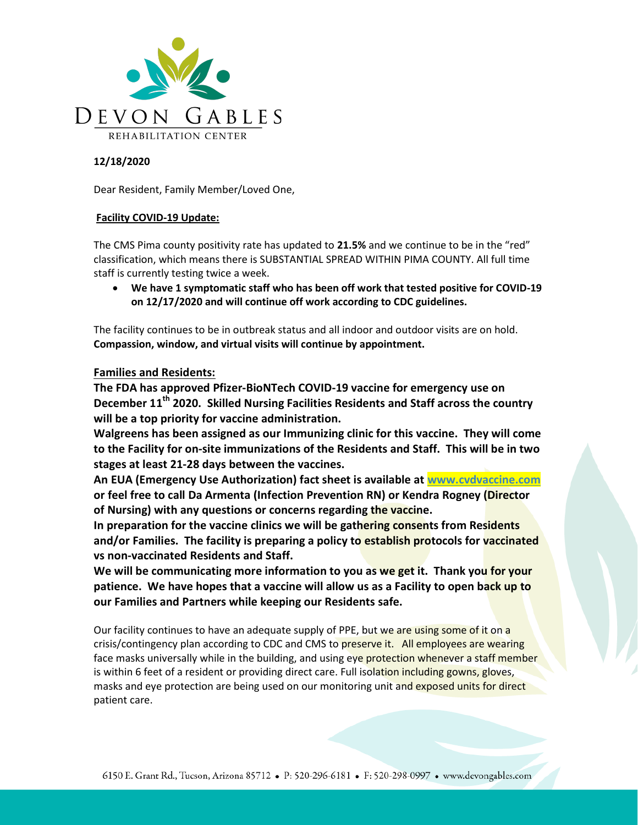

## 12/18/2020

Dear Resident, Family Member/Loved One,

## Facility COVID-19 Update:

The CMS Pima county positivity rate has updated to 21.5% and we continue to be in the "red" classification, which means there is SUBSTANTIAL SPREAD WITHIN PIMA COUNTY. All full time staff is currently testing twice a week.

 We have 1 symptomatic staff who has been off work that tested positive for COVID-19 on 12/17/2020 and will continue off work according to CDC guidelines.

The facility continues to be in outbreak status and all indoor and outdoor visits are on hold. Compassion, window, and virtual visits will continue by appointment.

## Families and Residents:

The FDA has approved Pfizer-BioNTech COVID-19 vaccine for emergency use on December  $11<sup>th</sup>$  2020. Skilled Nursing Facilities Residents and Staff across the country will be a top priority for vaccine administration.

Walgreens has been assigned as our Immunizing clinic for this vaccine. They will come to the Facility for on-site immunizations of the Residents and Staff. This will be in two stages at least 21-28 days between the vaccines.

An EUA (Emergency Use Authorization) fact sheet is available at www.cvdvaccine.com or feel free to call Da Armenta (Infection Prevention RN) or Kendra Rogney (Director of Nursing) with any questions or concerns regarding the vaccine.

In preparation for the vaccine clinics we will be gathering consents from Residents and/or Families. The facility is preparing a policy to establish protocols for vaccinated vs non-vaccinated Residents and Staff.

We will be communicating more information to you as we get it. Thank you for your patience. We have hopes that a vaccine will allow us as a Facility to open back up to our Families and Partners while keeping our Residents safe.

Our facility continues to have an adequate supply of PPE, but we are using some of it on a crisis/contingency plan according to CDC and CMS to preserve it. All employees are wearing face masks universally while in the building, and using eye protection whenever a staff member is within 6 feet of a resident or providing direct care. Full isolation including gowns, gloves, masks and eye protection are being used on our monitoring unit and exposed units for direct patient care.